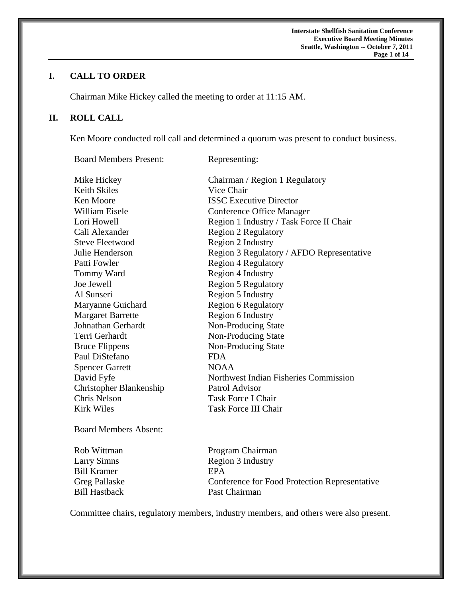# **I. CALL TO ORDER**

Chairman Mike Hickey called the meeting to order at 11:15 AM.

# **II. ROLL CALL**

Ken Moore conducted roll call and determined a quorum was present to conduct business.

Board Members Present: Representing:

| Mike Hickey              | Chairman / Region 1 Regulatory            |
|--------------------------|-------------------------------------------|
| <b>Keith Skiles</b>      | Vice Chair                                |
| Ken Moore                | <b>ISSC Executive Director</b>            |
| William Eisele           | <b>Conference Office Manager</b>          |
| Lori Howell              | Region 1 Industry / Task Force II Chair   |
| Cali Alexander           | <b>Region 2 Regulatory</b>                |
| <b>Steve Fleetwood</b>   | Region 2 Industry                         |
| Julie Henderson          | Region 3 Regulatory / AFDO Representative |
| Patti Fowler             | <b>Region 4 Regulatory</b>                |
| Tommy Ward               | Region 4 Industry                         |
| Joe Jewell               | <b>Region 5 Regulatory</b>                |
| Al Sunseri               | Region 5 Industry                         |
| Maryanne Guichard        | <b>Region 6 Regulatory</b>                |
| <b>Margaret Barrette</b> | Region 6 Industry                         |
| Johnathan Gerhardt       | Non-Producing State                       |
| Terri Gerhardt           | Non-Producing State                       |
| <b>Bruce Flippens</b>    | Non-Producing State                       |
| Paul DiStefano           | <b>FDA</b>                                |
| <b>Spencer Garrett</b>   | <b>NOAA</b>                               |
| David Fyfe               | Northwest Indian Fisheries Commission     |
| Christopher Blankenship  | Patrol Advisor                            |
| Chris Nelson             | <b>Task Force I Chair</b>                 |
| <b>Kirk Wiles</b>        | <b>Task Force III Chair</b>               |
| Roard Members Absent     |                                           |

Board Members Absent:

Bill Kramer EPA<br>Greg Pallaske Confe

Rob Wittman Program Chairman Larry Simns Region 3 Industry Conference for Food Protection Representative Bill Hastback Past Chairman

Committee chairs, regulatory members, industry members, and others were also present.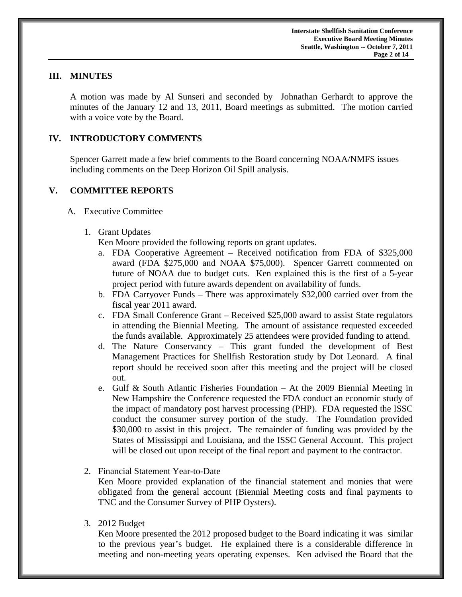## **III. MINUTES**

 A motion was made by Al Sunseri and seconded by Johnathan Gerhardt to approve the minutes of the January 12 and 13, 2011, Board meetings as submitted. The motion carried with a voice vote by the Board.

## **IV. INTRODUCTORY COMMENTS**

 Spencer Garrett made a few brief comments to the Board concerning NOAA/NMFS issues including comments on the Deep Horizon Oil Spill analysis.

## **V. COMMITTEE REPORTS**

- A. Executive Committee
	- 1. Grant Updates

Ken Moore provided the following reports on grant updates.

- a. FDA Cooperative Agreement Received notification from FDA of \$325,000 award (FDA \$275,000 and NOAA \$75,000). Spencer Garrett commented on future of NOAA due to budget cuts. Ken explained this is the first of a 5-year project period with future awards dependent on availability of funds.
- b. FDA Carryover Funds There was approximately \$32,000 carried over from the fiscal year 2011 award.
- c. FDA Small Conference Grant Received \$25,000 award to assist State regulators in attending the Biennial Meeting. The amount of assistance requested exceeded the funds available. Approximately 25 attendees were provided funding to attend.
- d. The Nature Conservancy This grant funded the development of Best Management Practices for Shellfish Restoration study by Dot Leonard. A final report should be received soon after this meeting and the project will be closed out.
- e. Gulf & South Atlantic Fisheries Foundation At the 2009 Biennial Meeting in New Hampshire the Conference requested the FDA conduct an economic study of the impact of mandatory post harvest processing (PHP). FDA requested the ISSC conduct the consumer survey portion of the study. The Foundation provided \$30,000 to assist in this project. The remainder of funding was provided by the States of Mississippi and Louisiana, and the ISSC General Account. This project will be closed out upon receipt of the final report and payment to the contractor.
- 2. Financial Statement Year-to-Date Ken Moore provided explanation of the financial statement and monies that were obligated from the general account (Biennial Meeting costs and final payments to TNC and the Consumer Survey of PHP Oysters).
- 3. 2012 Budget

Ken Moore presented the 2012 proposed budget to the Board indicating it was similar to the previous year's budget. He explained there is a considerable difference in meeting and non-meeting years operating expenses. Ken advised the Board that the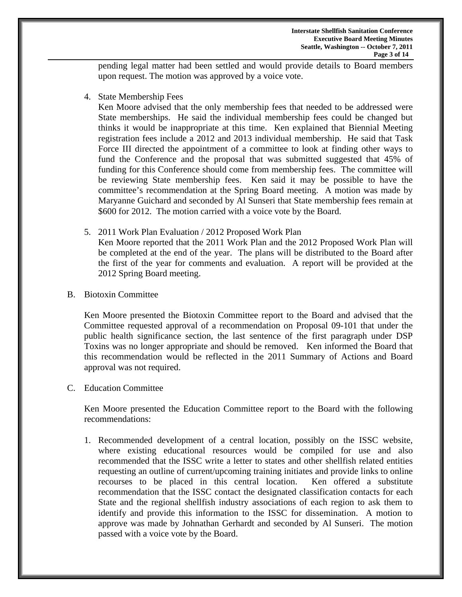pending legal matter had been settled and would provide details to Board members upon request. The motion was approved by a voice vote.

4. State Membership Fees

Ken Moore advised that the only membership fees that needed to be addressed were State memberships. He said the individual membership fees could be changed but thinks it would be inappropriate at this time. Ken explained that Biennial Meeting registration fees include a 2012 and 2013 individual membership. He said that Task Force III directed the appointment of a committee to look at finding other ways to fund the Conference and the proposal that was submitted suggested that 45% of funding for this Conference should come from membership fees. The committee will be reviewing State membership fees. Ken said it may be possible to have the committee's recommendation at the Spring Board meeting. A motion was made by Maryanne Guichard and seconded by Al Sunseri that State membership fees remain at \$600 for 2012. The motion carried with a voice vote by the Board.

- 5. 2011 Work Plan Evaluation / 2012 Proposed Work Plan Ken Moore reported that the 2011 Work Plan and the 2012 Proposed Work Plan will be completed at the end of the year. The plans will be distributed to the Board after the first of the year for comments and evaluation. A report will be provided at the 2012 Spring Board meeting.
- B. Biotoxin Committee

Ken Moore presented the Biotoxin Committee report to the Board and advised that the Committee requested approval of a recommendation on Proposal 09-101 that under the public health significance section, the last sentence of the first paragraph under DSP Toxins was no longer appropriate and should be removed. Ken informed the Board that this recommendation would be reflected in the 2011 Summary of Actions and Board approval was not required.

### C. Education Committee

Ken Moore presented the Education Committee report to the Board with the following recommendations:

1. Recommended development of a central location, possibly on the ISSC website, where existing educational resources would be compiled for use and also recommended that the ISSC write a letter to states and other shellfish related entities requesting an outline of current/upcoming training initiates and provide links to online recourses to be placed in this central location. Ken offered a substitute recommendation that the ISSC contact the designated classification contacts for each State and the regional shellfish industry associations of each region to ask them to identify and provide this information to the ISSC for dissemination. A motion to approve was made by Johnathan Gerhardt and seconded by Al Sunseri. The motion passed with a voice vote by the Board.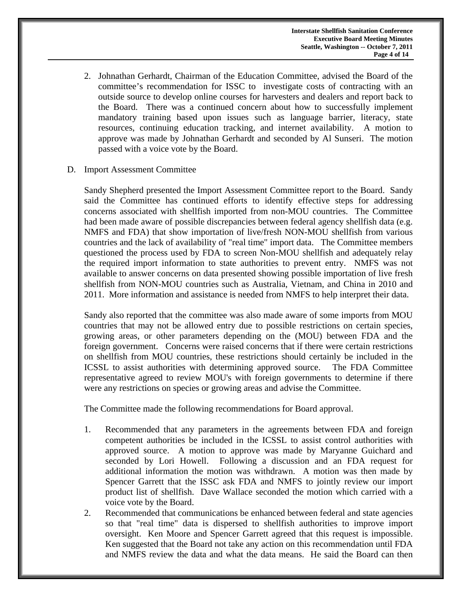- 2. Johnathan Gerhardt, Chairman of the Education Committee, advised the Board of the committee's recommendation for ISSC to investigate costs of contracting with an outside source to develop online courses for harvesters and dealers and report back to the Board. There was a continued concern about how to successfully implement mandatory training based upon issues such as language barrier, literacy, state resources, continuing education tracking, and internet availability. A motion to approve was made by Johnathan Gerhardt and seconded by Al Sunseri. The motion passed with a voice vote by the Board.
- D. Import Assessment Committee

Sandy Shepherd presented the Import Assessment Committee report to the Board. Sandy said the Committee has continued efforts to identify effective steps for addressing concerns associated with shellfish imported from non-MOU countries. The Committee had been made aware of possible discrepancies between federal agency shellfish data (e.g. NMFS and FDA) that show importation of live/fresh NON-MOU shellfish from various countries and the lack of availability of "real time" import data. The Committee members questioned the process used by FDA to screen Non-MOU shellfish and adequately relay the required import information to state authorities to prevent entry. NMFS was not available to answer concerns on data presented showing possible importation of live fresh shellfish from NON-MOU countries such as Australia, Vietnam, and China in 2010 and 2011. More information and assistance is needed from NMFS to help interpret their data.

Sandy also reported that the committee was also made aware of some imports from MOU countries that may not be allowed entry due to possible restrictions on certain species, growing areas, or other parameters depending on the (MOU) between FDA and the foreign government. Concerns were raised concerns that if there were certain restrictions on shellfish from MOU countries, these restrictions should certainly be included in the ICSSL to assist authorities with determining approved source. The FDA Committee representative agreed to review MOU's with foreign governments to determine if there were any restrictions on species or growing areas and advise the Committee.

The Committee made the following recommendations for Board approval.

- 1. Recommended that any parameters in the agreements between FDA and foreign competent authorities be included in the ICSSL to assist control authorities with approved source. A motion to approve was made by Maryanne Guichard and seconded by Lori Howell. Following a discussion and an FDA request for additional information the motion was withdrawn. A motion was then made by Spencer Garrett that the ISSC ask FDA and NMFS to jointly review our import product list of shellfish. Dave Wallace seconded the motion which carried with a voice vote by the Board.
- 2. Recommended that communications be enhanced between federal and state agencies so that "real time" data is dispersed to shellfish authorities to improve import oversight. Ken Moore and Spencer Garrett agreed that this request is impossible. Ken suggested that the Board not take any action on this recommendation until FDA and NMFS review the data and what the data means. He said the Board can then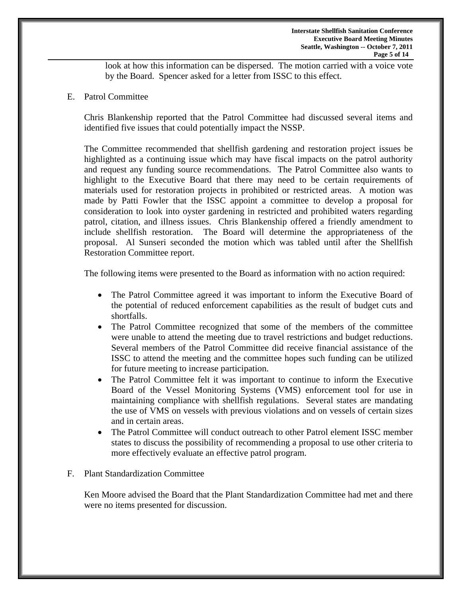look at how this information can be dispersed. The motion carried with a voice vote by the Board. Spencer asked for a letter from ISSC to this effect.

E. Patrol Committee

Chris Blankenship reported that the Patrol Committee had discussed several items and identified five issues that could potentially impact the NSSP.

The Committee recommended that shellfish gardening and restoration project issues be highlighted as a continuing issue which may have fiscal impacts on the patrol authority and request any funding source recommendations. The Patrol Committee also wants to highlight to the Executive Board that there may need to be certain requirements of materials used for restoration projects in prohibited or restricted areas. A motion was made by Patti Fowler that the ISSC appoint a committee to develop a proposal for consideration to look into oyster gardening in restricted and prohibited waters regarding patrol, citation, and illness issues. Chris Blankenship offered a friendly amendment to include shellfish restoration. The Board will determine the appropriateness of the proposal. Al Sunseri seconded the motion which was tabled until after the Shellfish Restoration Committee report.

The following items were presented to the Board as information with no action required:

- The Patrol Committee agreed it was important to inform the Executive Board of the potential of reduced enforcement capabilities as the result of budget cuts and shortfalls.
- The Patrol Committee recognized that some of the members of the committee were unable to attend the meeting due to travel restrictions and budget reductions. Several members of the Patrol Committee did receive financial assistance of the ISSC to attend the meeting and the committee hopes such funding can be utilized for future meeting to increase participation.
- The Patrol Committee felt it was important to continue to inform the Executive Board of the Vessel Monitoring Systems (VMS) enforcement tool for use in maintaining compliance with shellfish regulations. Several states are mandating the use of VMS on vessels with previous violations and on vessels of certain sizes and in certain areas.
- The Patrol Committee will conduct outreach to other Patrol element ISSC member states to discuss the possibility of recommending a proposal to use other criteria to more effectively evaluate an effective patrol program.
- F. Plant Standardization Committee

Ken Moore advised the Board that the Plant Standardization Committee had met and there were no items presented for discussion.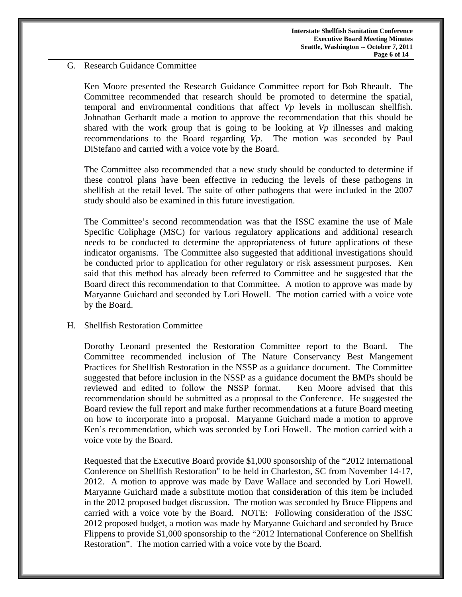### G. Research Guidance Committee

Ken Moore presented the Research Guidance Committee report for Bob Rheault. The Committee recommended that research should be promoted to determine the spatial, temporal and environmental conditions that affect *Vp* levels in molluscan shellfish. Johnathan Gerhardt made a motion to approve the recommendation that this should be shared with the work group that is going to be looking at *Vp* illnesses and making recommendations to the Board regarding *Vp*. The motion was seconded by Paul DiStefano and carried with a voice vote by the Board.

The Committee also recommended that a new study should be conducted to determine if these control plans have been effective in reducing the levels of these pathogens in shellfish at the retail level. The suite of other pathogens that were included in the 2007 study should also be examined in this future investigation.

The Committee's second recommendation was that the ISSC examine the use of Male Specific Coliphage (MSC) for various regulatory applications and additional research needs to be conducted to determine the appropriateness of future applications of these indicator organisms. The Committee also suggested that additional investigations should be conducted prior to application for other regulatory or risk assessment purposes. Ken said that this method has already been referred to Committee and he suggested that the Board direct this recommendation to that Committee. A motion to approve was made by Maryanne Guichard and seconded by Lori Howell. The motion carried with a voice vote by the Board.

### H. Shellfish Restoration Committee

 Dorothy Leonard presented the Restoration Committee report to the Board. The Committee recommended inclusion of The Nature Conservancy Best Mangement Practices for Shellfish Restoration in the NSSP as a guidance document. The Committee suggested that before inclusion in the NSSP as a guidance document the BMPs should be reviewed and edited to follow the NSSP format. Ken Moore advised that this recommendation should be submitted as a proposal to the Conference. He suggested the Board review the full report and make further recommendations at a future Board meeting on how to incorporate into a proposal. Maryanne Guichard made a motion to approve Ken's recommendation, which was seconded by Lori Howell. The motion carried with a voice vote by the Board.

Requested that the Executive Board provide \$1,000 sponsorship of the "2012 International Conference on Shellfish Restoration" to be held in Charleston, SC from November 14-17, 2012. A motion to approve was made by Dave Wallace and seconded by Lori Howell. Maryanne Guichard made a substitute motion that consideration of this item be included in the 2012 proposed budget discussion. The motion was seconded by Bruce Flippens and carried with a voice vote by the Board. NOTE: Following consideration of the ISSC 2012 proposed budget, a motion was made by Maryanne Guichard and seconded by Bruce Flippens to provide \$1,000 sponsorship to the "2012 International Conference on Shellfish Restoration". The motion carried with a voice vote by the Board.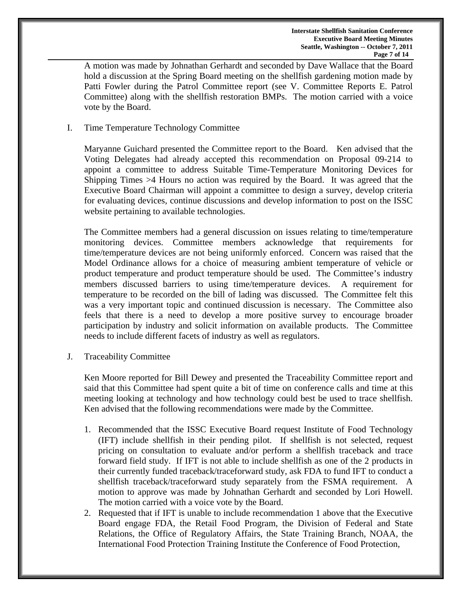A motion was made by Johnathan Gerhardt and seconded by Dave Wallace that the Board hold a discussion at the Spring Board meeting on the shellfish gardening motion made by Patti Fowler during the Patrol Committee report (see V. Committee Reports E. Patrol Committee) along with the shellfish restoration BMPs. The motion carried with a voice vote by the Board.

# I. Time Temperature Technology Committee

Maryanne Guichard presented the Committee report to the Board. Ken advised that the Voting Delegates had already accepted this recommendation on Proposal 09-214 to appoint a committee to address Suitable Time-Temperature Monitoring Devices for Shipping Times >4 Hours no action was required by the Board. It was agreed that the Executive Board Chairman will appoint a committee to design a survey, develop criteria for evaluating devices, continue discussions and develop information to post on the ISSC website pertaining to available technologies.

The Committee members had a general discussion on issues relating to time/temperature monitoring devices. Committee members acknowledge that requirements for time/temperature devices are not being uniformly enforced. Concern was raised that the Model Ordinance allows for a choice of measuring ambient temperature of vehicle or product temperature and product temperature should be used. The Committee's industry members discussed barriers to using time/temperature devices. A requirement for temperature to be recorded on the bill of lading was discussed. The Committee felt this was a very important topic and continued discussion is necessary. The Committee also feels that there is a need to develop a more positive survey to encourage broader participation by industry and solicit information on available products. The Committee needs to include different facets of industry as well as regulators.

J. Traceability Committee

Ken Moore reported for Bill Dewey and presented the Traceability Committee report and said that this Committee had spent quite a bit of time on conference calls and time at this meeting looking at technology and how technology could best be used to trace shellfish. Ken advised that the following recommendations were made by the Committee.

- 1. Recommended that the ISSC Executive Board request Institute of Food Technology (IFT) include shellfish in their pending pilot. If shellfish is not selected, request pricing on consultation to evaluate and/or perform a shellfish traceback and trace forward field study. If IFT is not able to include shellfish as one of the 2 products in their currently funded traceback/traceforward study, ask FDA to fund IFT to conduct a shellfish traceback/traceforward study separately from the FSMA requirement. A motion to approve was made by Johnathan Gerhardt and seconded by Lori Howell. The motion carried with a voice vote by the Board.
- 2. Requested that if IFT is unable to include recommendation 1 above that the Executive Board engage FDA, the Retail Food Program, the Division of Federal and State Relations, the Office of Regulatory Affairs, the State Training Branch, NOAA, the International Food Protection Training Institute the Conference of Food Protection,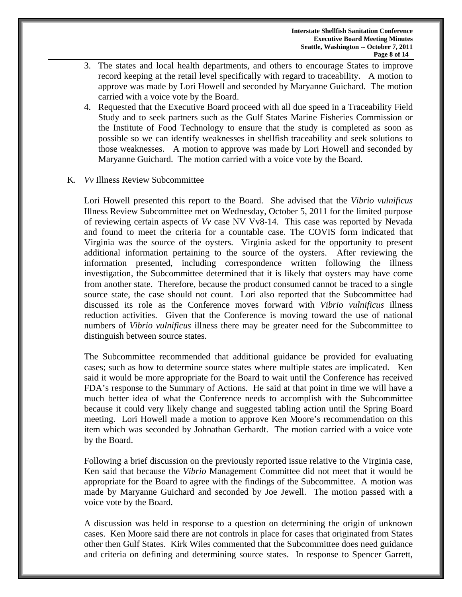- 3. The states and local health departments, and others to encourage States to improve record keeping at the retail level specifically with regard to traceability. A motion to approve was made by Lori Howell and seconded by Maryanne Guichard. The motion carried with a voice vote by the Board.
- 4. Requested that the Executive Board proceed with all due speed in a Traceability Field Study and to seek partners such as the Gulf States Marine Fisheries Commission or the Institute of Food Technology to ensure that the study is completed as soon as possible so we can identify weaknesses in shellfish traceability and seek solutions to those weaknesses. A motion to approve was made by Lori Howell and seconded by Maryanne Guichard. The motion carried with a voice vote by the Board.
- K. *Vv* Illness Review Subcommittee

Lori Howell presented this report to the Board. She advised that the *Vibrio vulnificus* Illness Review Subcommittee met on Wednesday, October 5, 2011 for the limited purpose of reviewing certain aspects of *Vv* case NV Vv8-14. This case was reported by Nevada and found to meet the criteria for a countable case. The COVIS form indicated that Virginia was the source of the oysters. Virginia asked for the opportunity to present additional information pertaining to the source of the oysters. After reviewing the information presented, including correspondence written following the illness investigation, the Subcommittee determined that it is likely that oysters may have come from another state. Therefore, because the product consumed cannot be traced to a single source state, the case should not count. Lori also reported that the Subcommittee had discussed its role as the Conference moves forward with *Vibrio vulnificus* illness reduction activities. Given that the Conference is moving toward the use of national numbers of *Vibrio vulnificus* illness there may be greater need for the Subcommittee to distinguish between source states.

The Subcommittee recommended that additional guidance be provided for evaluating cases; such as how to determine source states where multiple states are implicated. Ken said it would be more appropriate for the Board to wait until the Conference has received FDA's response to the Summary of Actions. He said at that point in time we will have a much better idea of what the Conference needs to accomplish with the Subcommittee because it could very likely change and suggested tabling action until the Spring Board meeting. Lori Howell made a motion to approve Ken Moore's recommendation on this item which was seconded by Johnathan Gerhardt. The motion carried with a voice vote by the Board.

Following a brief discussion on the previously reported issue relative to the Virginia case, Ken said that because the *Vibrio* Management Committee did not meet that it would be appropriate for the Board to agree with the findings of the Subcommittee. A motion was made by Maryanne Guichard and seconded by Joe Jewell. The motion passed with a voice vote by the Board.

A discussion was held in response to a question on determining the origin of unknown cases. Ken Moore said there are not controls in place for cases that originated from States other then Gulf States. Kirk Wiles commented that the Subcommittee does need guidance and criteria on defining and determining source states. In response to Spencer Garrett,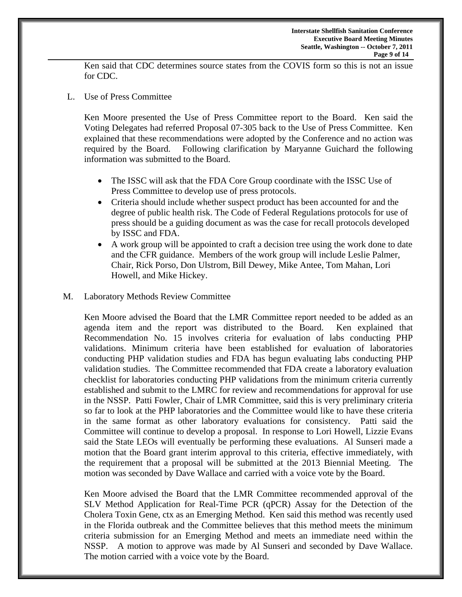Ken said that CDC determines source states from the COVIS form so this is not an issue for CDC.

L. Use of Press Committee

Ken Moore presented the Use of Press Committee report to the Board. Ken said the Voting Delegates had referred Proposal 07-305 back to the Use of Press Committee. Ken explained that these recommendations were adopted by the Conference and no action was required by the Board. Following clarification by Maryanne Guichard the following information was submitted to the Board.

- The ISSC will ask that the FDA Core Group coordinate with the ISSC Use of Press Committee to develop use of press protocols.
- Criteria should include whether suspect product has been accounted for and the degree of public health risk. The Code of Federal Regulations protocols for use of press should be a guiding document as was the case for recall protocols developed by ISSC and FDA.
- A work group will be appointed to craft a decision tree using the work done to date and the CFR guidance. Members of the work group will include Leslie Palmer, Chair, Rick Porso, Don Ulstrom, Bill Dewey, Mike Antee, Tom Mahan, Lori Howell, and Mike Hickey.
- M. Laboratory Methods Review Committee

Ken Moore advised the Board that the LMR Committee report needed to be added as an agenda item and the report was distributed to the Board. Ken explained that Recommendation No. 15 involves criteria for evaluation of labs conducting PHP validations. Minimum criteria have been established for evaluation of laboratories conducting PHP validation studies and FDA has begun evaluating labs conducting PHP validation studies. The Committee recommended that FDA create a laboratory evaluation checklist for laboratories conducting PHP validations from the minimum criteria currently established and submit to the LMRC for review and recommendations for approval for use in the NSSP. Patti Fowler, Chair of LMR Committee, said this is very preliminary criteria so far to look at the PHP laboratories and the Committee would like to have these criteria in the same format as other laboratory evaluations for consistency. Patti said the Committee will continue to develop a proposal. In response to Lori Howell, Lizzie Evans said the State LEOs will eventually be performing these evaluations. Al Sunseri made a motion that the Board grant interim approval to this criteria, effective immediately, with the requirement that a proposal will be submitted at the 2013 Biennial Meeting. The motion was seconded by Dave Wallace and carried with a voice vote by the Board.

Ken Moore advised the Board that the LMR Committee recommended approval of the SLV Method Application for Real-Time PCR (qPCR) Assay for the Detection of the Cholera Toxin Gene, ctx as an Emerging Method. Ken said this method was recently used in the Florida outbreak and the Committee believes that this method meets the minimum criteria submission for an Emerging Method and meets an immediate need within the NSSP. A motion to approve was made by Al Sunseri and seconded by Dave Wallace. The motion carried with a voice vote by the Board.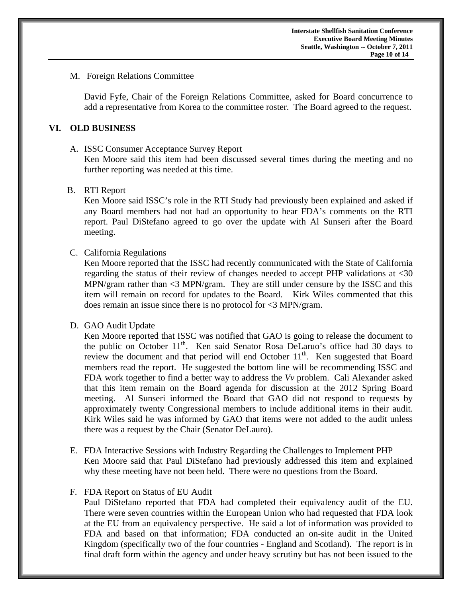### M. Foreign Relations Committee

 David Fyfe, Chair of the Foreign Relations Committee, asked for Board concurrence to add a representative from Korea to the committee roster. The Board agreed to the request.

### **VI. OLD BUSINESS**

#### A. ISSC Consumer Acceptance Survey Report

 Ken Moore said this item had been discussed several times during the meeting and no further reporting was needed at this time.

## B. RTI Report

Ken Moore said ISSC's role in the RTI Study had previously been explained and asked if any Board members had not had an opportunity to hear FDA's comments on the RTI report. Paul DiStefano agreed to go over the update with Al Sunseri after the Board meeting.

## C. California Regulations

Ken Moore reported that the ISSC had recently communicated with the State of California regarding the status of their review of changes needed to accept PHP validations at <30 MPN/gram rather than <3 MPN/gram. They are still under censure by the ISSC and this item will remain on record for updates to the Board. Kirk Wiles commented that this does remain an issue since there is no protocol for <3 MPN/gram.

#### D. GAO Audit Update

Ken Moore reported that ISSC was notified that GAO is going to release the document to the public on October  $11<sup>th</sup>$ . Ken said Senator Rosa DeLaruo's office had 30 days to review the document and that period will end October  $11<sup>th</sup>$ . Ken suggested that Board members read the report. He suggested the bottom line will be recommending ISSC and FDA work together to find a better way to address the *Vv* problem. Cali Alexander asked that this item remain on the Board agenda for discussion at the 2012 Spring Board meeting. Al Sunseri informed the Board that GAO did not respond to requests by approximately twenty Congressional members to include additional items in their audit. Kirk Wiles said he was informed by GAO that items were not added to the audit unless there was a request by the Chair (Senator DeLauro).

E. FDA Interactive Sessions with Industry Regarding the Challenges to Implement PHP Ken Moore said that Paul DiStefano had previously addressed this item and explained why these meeting have not been held. There were no questions from the Board.

#### F. FDA Report on Status of EU Audit

Paul DiStefano reported that FDA had completed their equivalency audit of the EU. There were seven countries within the European Union who had requested that FDA look at the EU from an equivalency perspective. He said a lot of information was provided to FDA and based on that information; FDA conducted an on-site audit in the United Kingdom (specifically two of the four countries - England and Scotland). The report is in final draft form within the agency and under heavy scrutiny but has not been issued to the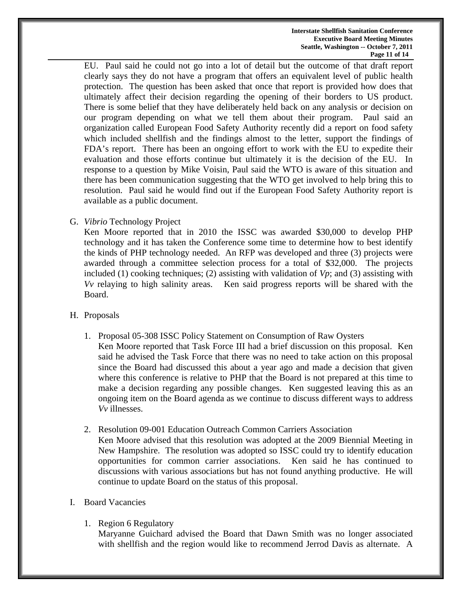EU. Paul said he could not go into a lot of detail but the outcome of that draft report clearly says they do not have a program that offers an equivalent level of public health protection. The question has been asked that once that report is provided how does that ultimately affect their decision regarding the opening of their borders to US product. There is some belief that they have deliberately held back on any analysis or decision on our program depending on what we tell them about their program. Paul said an organization called European Food Safety Authority recently did a report on food safety which included shellfish and the findings almost to the letter, support the findings of FDA's report. There has been an ongoing effort to work with the EU to expedite their evaluation and those efforts continue but ultimately it is the decision of the EU. In response to a question by Mike Voisin, Paul said the WTO is aware of this situation and there has been communication suggesting that the WTO get involved to help bring this to resolution. Paul said he would find out if the European Food Safety Authority report is available as a public document.

G. *Vibrio* Technology Project

Ken Moore reported that in 2010 the ISSC was awarded \$30,000 to develop PHP technology and it has taken the Conference some time to determine how to best identify the kinds of PHP technology needed. An RFP was developed and three (3) projects were awarded through a committee selection process for a total of \$32,000. The projects included (1) cooking techniques; (2) assisting with validation of *Vp*; and (3) assisting with *Vv* relaying to high salinity areas. Ken said progress reports will be shared with the Board.

- H. Proposals
	- 1. Proposal 05-308 ISSC Policy Statement on Consumption of Raw Oysters Ken Moore reported that Task Force III had a brief discussion on this proposal. Ken said he advised the Task Force that there was no need to take action on this proposal since the Board had discussed this about a year ago and made a decision that given where this conference is relative to PHP that the Board is not prepared at this time to make a decision regarding any possible changes. Ken suggested leaving this as an ongoing item on the Board agenda as we continue to discuss different ways to address *Vv* illnesses.
	- 2. Resolution 09-001 Education Outreach Common Carriers Association

Ken Moore advised that this resolution was adopted at the 2009 Biennial Meeting in New Hampshire. The resolution was adopted so ISSC could try to identify education opportunities for common carrier associations. Ken said he has continued to discussions with various associations but has not found anything productive. He will continue to update Board on the status of this proposal.

- I. Board Vacancies
	- 1. Region 6 Regulatory

Maryanne Guichard advised the Board that Dawn Smith was no longer associated with shellfish and the region would like to recommend Jerrod Davis as alternate. A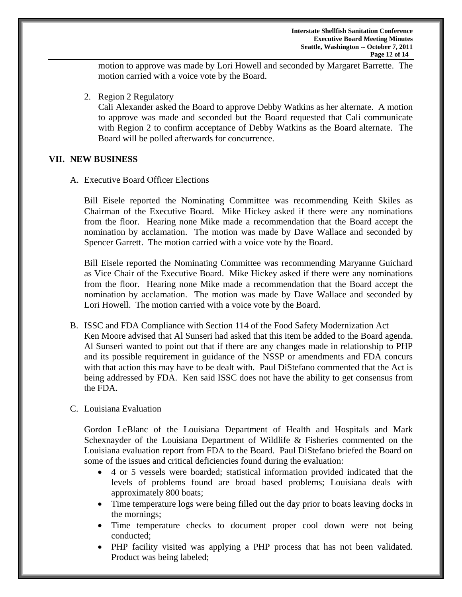motion to approve was made by Lori Howell and seconded by Margaret Barrette. The motion carried with a voice vote by the Board.

2. Region 2 Regulatory

Cali Alexander asked the Board to approve Debby Watkins as her alternate. A motion to approve was made and seconded but the Board requested that Cali communicate with Region 2 to confirm acceptance of Debby Watkins as the Board alternate. The Board will be polled afterwards for concurrence.

## **VII. NEW BUSINESS**

A. Executive Board Officer Elections

 Bill Eisele reported the Nominating Committee was recommending Keith Skiles as Chairman of the Executive Board. Mike Hickey asked if there were any nominations from the floor. Hearing none Mike made a recommendation that the Board accept the nomination by acclamation. The motion was made by Dave Wallace and seconded by Spencer Garrett. The motion carried with a voice vote by the Board.

 Bill Eisele reported the Nominating Committee was recommending Maryanne Guichard as Vice Chair of the Executive Board. Mike Hickey asked if there were any nominations from the floor. Hearing none Mike made a recommendation that the Board accept the nomination by acclamation. The motion was made by Dave Wallace and seconded by Lori Howell. The motion carried with a voice vote by the Board.

- B. ISSC and FDA Compliance with Section 114 of the Food Safety Modernization Act Ken Moore advised that Al Sunseri had asked that this item be added to the Board agenda. Al Sunseri wanted to point out that if there are any changes made in relationship to PHP and its possible requirement in guidance of the NSSP or amendments and FDA concurs with that action this may have to be dealt with. Paul DiStefano commented that the Act is being addressed by FDA. Ken said ISSC does not have the ability to get consensus from the FDA.
- C. Louisiana Evaluation

Gordon LeBlanc of the Louisiana Department of Health and Hospitals and Mark Schexnayder of the Louisiana Department of Wildlife & Fisheries commented on the Louisiana evaluation report from FDA to the Board. Paul DiStefano briefed the Board on some of the issues and critical deficiencies found during the evaluation:

- 4 or 5 vessels were boarded; statistical information provided indicated that the levels of problems found are broad based problems; Louisiana deals with approximately 800 boats;
- Time temperature logs were being filled out the day prior to boats leaving docks in the mornings;
- Time temperature checks to document proper cool down were not being conducted;
- PHP facility visited was applying a PHP process that has not been validated. Product was being labeled;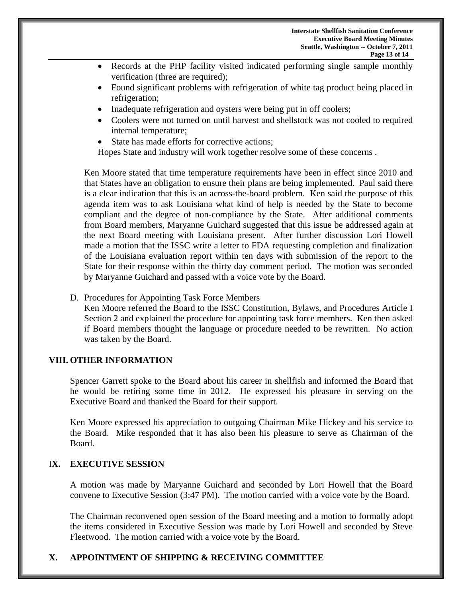- Records at the PHP facility visited indicated performing single sample monthly verification (three are required);
- Found significant problems with refrigeration of white tag product being placed in refrigeration;
- Inadequate refrigeration and oysters were being put in off coolers;
- Coolers were not turned on until harvest and shellstock was not cooled to required internal temperature;
- State has made efforts for corrective actions:

Hopes State and industry will work together resolve some of these concerns .

Ken Moore stated that time temperature requirements have been in effect since 2010 and that States have an obligation to ensure their plans are being implemented. Paul said there is a clear indication that this is an across-the-board problem. Ken said the purpose of this agenda item was to ask Louisiana what kind of help is needed by the State to become compliant and the degree of non-compliance by the State. After additional comments from Board members, Maryanne Guichard suggested that this issue be addressed again at the next Board meeting with Louisiana present. After further discussion Lori Howell made a motion that the ISSC write a letter to FDA requesting completion and finalization of the Louisiana evaluation report within ten days with submission of the report to the State for their response within the thirty day comment period. The motion was seconded by Maryanne Guichard and passed with a voice vote by the Board.

D. Procedures for Appointing Task Force Members

Ken Moore referred the Board to the ISSC Constitution, Bylaws, and Procedures Article I Section 2 and explained the procedure for appointing task force members. Ken then asked if Board members thought the language or procedure needed to be rewritten. No action was taken by the Board.

## **VIII. OTHER INFORMATION**

Spencer Garrett spoke to the Board about his career in shellfish and informed the Board that he would be retiring some time in 2012. He expressed his pleasure in serving on the Executive Board and thanked the Board for their support.

Ken Moore expressed his appreciation to outgoing Chairman Mike Hickey and his service to the Board. Mike responded that it has also been his pleasure to serve as Chairman of the Board.

# I**X. EXECUTIVE SESSION**

A motion was made by Maryanne Guichard and seconded by Lori Howell that the Board convene to Executive Session (3:47 PM). The motion carried with a voice vote by the Board.

The Chairman reconvened open session of the Board meeting and a motion to formally adopt the items considered in Executive Session was made by Lori Howell and seconded by Steve Fleetwood. The motion carried with a voice vote by the Board.

# **X. APPOINTMENT OF SHIPPING & RECEIVING COMMITTEE**